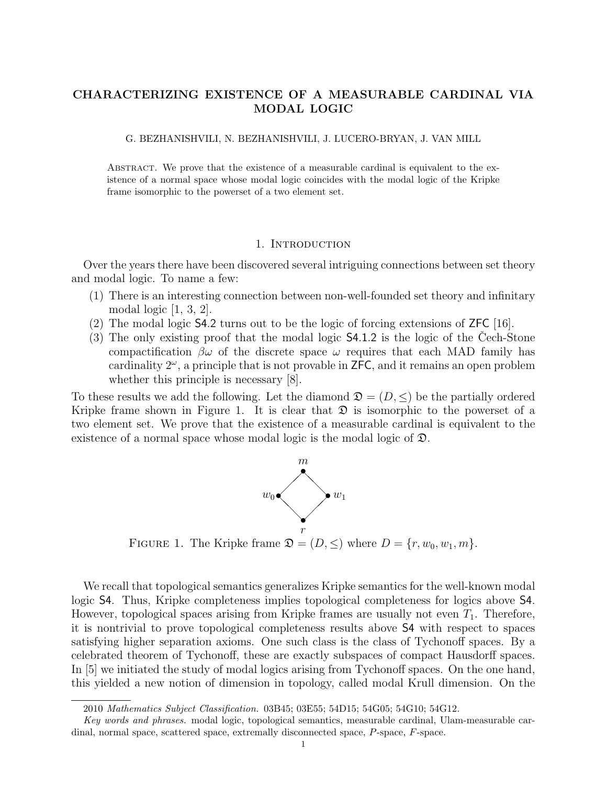# CHARACTERIZING EXISTENCE OF A MEASURABLE CARDINAL VIA MODAL LOGIC

G. BEZHANISHVILI, N. BEZHANISHVILI, J. LUCERO-BRYAN, J. VAN MILL

Abstract. We prove that the existence of a measurable cardinal is equivalent to the existence of a normal space whose modal logic coincides with the modal logic of the Kripke frame isomorphic to the powerset of a two element set.

# 1. INTRODUCTION

Over the years there have been discovered several intriguing connections between set theory and modal logic. To name a few:

- (1) There is an interesting connection between non-well-founded set theory and infinitary modal logic [1, 3, 2].
- (2) The modal logic S4.2 turns out to be the logic of forcing extensions of ZFC [16].
- $(3)$  The only existing proof that the modal logic  $\mathsf{S4.1.2}$  is the logic of the Cech-Stone compactification  $\beta\omega$  of the discrete space  $\omega$  requires that each MAD family has cardinality  $2^{\omega}$ , a principle that is not provable in  $\mathsf{ZFC}$ , and it remains an open problem whether this principle is necessary [8].

To these results we add the following. Let the diamond  $\mathfrak{D} = (D, \leq)$  be the partially ordered Kripke frame shown in Figure 1. It is clear that  $\mathfrak D$  is isomorphic to the powerset of a two element set. We prove that the existence of a measurable cardinal is equivalent to the existence of a normal space whose modal logic is the modal logic of D.



FIGURE 1. The Kripke frame  $\mathfrak{D} = (D, \leq)$  where  $D = \{r, w_0, w_1, m\}.$ 

We recall that topological semantics generalizes Kripke semantics for the well-known modal logic S4. Thus, Kripke completeness implies topological completeness for logics above S4. However, topological spaces arising from Kripke frames are usually not even  $T_1$ . Therefore, it is nontrivial to prove topological completeness results above S4 with respect to spaces satisfying higher separation axioms. One such class is the class of Tychonoff spaces. By a celebrated theorem of Tychonoff, these are exactly subspaces of compact Hausdorff spaces. In [5] we initiated the study of modal logics arising from Tychonoff spaces. On the one hand, this yielded a new notion of dimension in topology, called modal Krull dimension. On the

<sup>2010</sup> Mathematics Subject Classification. 03B45; 03E55; 54D15; 54G05; 54G10; 54G12.

Key words and phrases. modal logic, topological semantics, measurable cardinal, Ulam-measurable cardinal, normal space, scattered space, extremally disconnected space, P-space, F-space.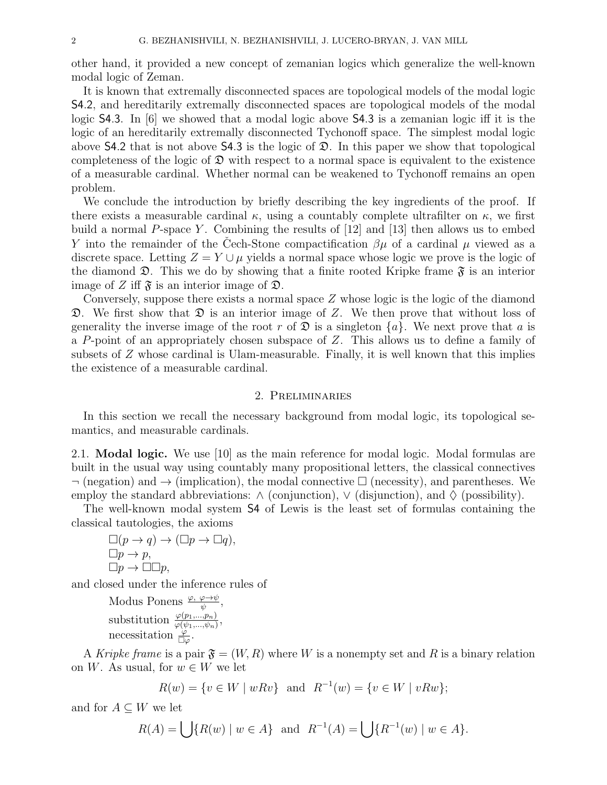other hand, it provided a new concept of zemanian logics which generalize the well-known modal logic of Zeman.

It is known that extremally disconnected spaces are topological models of the modal logic S4.2, and hereditarily extremally disconnected spaces are topological models of the modal logic S4.3. In [6] we showed that a modal logic above S4.3 is a zemanian logic iff it is the logic of an hereditarily extremally disconnected Tychonoff space. The simplest modal logic above  $\mathsf{S4.2}$  that is not above  $\mathsf{S4.3}$  is the logic of  $\mathfrak{D}$ . In this paper we show that topological completeness of the logic of  $\mathfrak D$  with respect to a normal space is equivalent to the existence of a measurable cardinal. Whether normal can be weakened to Tychonoff remains an open problem.

We conclude the introduction by briefly describing the key ingredients of the proof. If there exists a measurable cardinal  $\kappa$ , using a countably complete ultrafilter on  $\kappa$ , we first build a normal P-space Y. Combining the results of  $[12]$  and  $[13]$  then allows us to embed Y into the remainder of the Cech-Stone compactification  $\beta\mu$  of a cardinal  $\mu$  viewed as a discrete space. Letting  $Z = Y \cup \mu$  yields a normal space whose logic we prove is the logic of the diamond  $\mathfrak{D}$ . This we do by showing that a finite rooted Kripke frame  $\mathfrak{F}$  is an interior image of Z iff  $\mathfrak{F}$  is an interior image of  $\mathfrak{D}$ .

Conversely, suppose there exists a normal space  $Z$  whose logic is the logic of the diamond  $\mathfrak{D}$ . We first show that  $\mathfrak{D}$  is an interior image of Z. We then prove that without loss of generality the inverse image of the root r of  $\mathfrak{D}$  is a singleton  $\{a\}$ . We next prove that a is a P-point of an appropriately chosen subspace of Z. This allows us to define a family of subsets of Z whose cardinal is Ulam-measurable. Finally, it is well known that this implies the existence of a measurable cardinal.

# 2. Preliminaries

In this section we recall the necessary background from modal logic, its topological semantics, and measurable cardinals.

2.1. Modal logic. We use [10] as the main reference for modal logic. Modal formulas are built in the usual way using countably many propositional letters, the classical connectives  $\neg$  (negation) and  $\neg$  (implication), the modal connective  $\Box$  (necessity), and parentheses. We employ the standard abbreviations:  $\wedge$  (conjunction),  $\vee$  (disjunction), and  $\Diamond$  (possibility).

The well-known modal system S4 of Lewis is the least set of formulas containing the classical tautologies, the axioms

$$
\Box(p \to q) \to (\Box p \to \Box q),
$$
  
\n
$$
\Box p \to p,
$$
  
\n
$$
\Box p \to \Box \Box p,
$$

and closed under the inference rules of

Modus Ponens  $\frac{\varphi, \varphi \rightarrow \psi}{\psi},$ substitution  $\frac{\varphi(p_1,...,p_n)}{\varphi(\psi_1,...,\psi_n)},$ necessitation  $\frac{\varphi}{\Box \varphi}$ .

A Kripke frame is a pair  $\mathfrak{F} = (W, R)$  where W is a nonempty set and R is a binary relation on W. As usual, for  $w \in W$  we let

$$
R(w) = \{ v \in W \mid wRv \} \text{ and } R^{-1}(w) = \{ v \in W \mid vRw \};
$$

and for  $A \subseteq W$  we let

$$
R(A) = \bigcup \{ R(w) \mid w \in A \} \text{ and } R^{-1}(A) = \bigcup \{ R^{-1}(w) \mid w \in A \}.
$$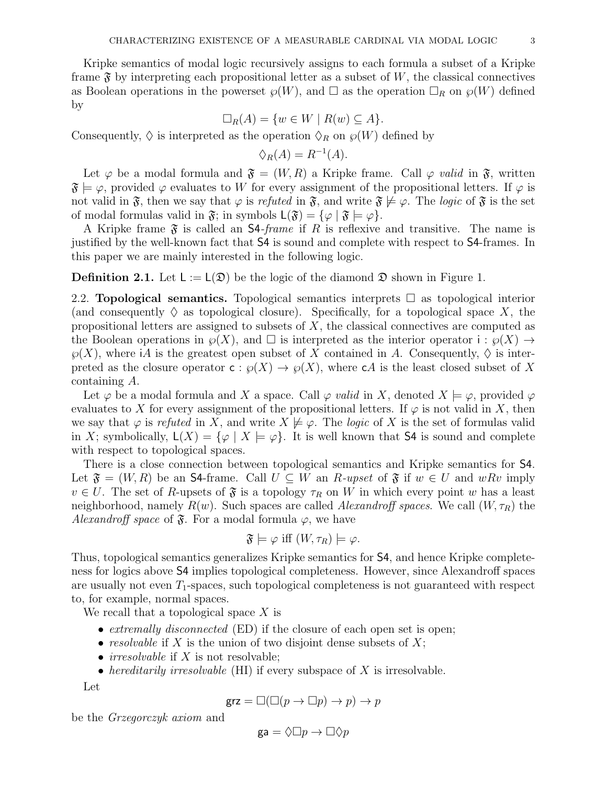Kripke semantics of modal logic recursively assigns to each formula a subset of a Kripke frame  $\mathfrak F$  by interpreting each propositional letter as a subset of W, the classical connectives as Boolean operations in the powerset  $\mathcal{G}(W)$ , and  $\Box$  as the operation  $\Box_R$  on  $\mathcal{G}(W)$  defined by

$$
\Box_R(A) = \{ w \in W \mid R(w) \subseteq A \}.
$$

Consequently,  $\Diamond$  is interpreted as the operation  $\Diamond_R$  on  $\wp(W)$  defined by

$$
\Diamond_R(A) = R^{-1}(A).
$$

Let  $\varphi$  be a modal formula and  $\mathfrak{F} = (W, R)$  a Kripke frame. Call  $\varphi$  valid in  $\mathfrak{F}$ , written  $\mathfrak{F} \models \varphi$ , provided  $\varphi$  evaluates to W for every assignment of the propositional letters. If  $\varphi$  is not valid in  $\mathfrak{F}$ , then we say that  $\varphi$  is refuted in  $\mathfrak{F}$ , and write  $\mathfrak{F} \not\models \varphi$ . The logic of  $\mathfrak{F}$  is the set of modal formulas valid in  $\mathfrak{F}$ ; in symbols  $\mathsf{L}(\mathfrak{F}) = \{ \varphi \mid \mathfrak{F} \models \varphi \}.$ 

A Kripke frame  $\mathfrak F$  is called an S4-frame if R is reflexive and transitive. The name is justified by the well-known fact that S4 is sound and complete with respect to S4-frames. In this paper we are mainly interested in the following logic.

**Definition 2.1.** Let  $L := L(\mathfrak{D})$  be the logic of the diamond  $\mathfrak{D}$  shown in Figure 1.

2.2. **Topological semantics.** Topological semantics interprets  $\Box$  as topological interior (and consequently  $\Diamond$  as topological closure). Specifically, for a topological space X, the propositional letters are assigned to subsets of  $X$ , the classical connectives are computed as the Boolean operations in  $\wp(X)$ , and  $\square$  is interpreted as the interior operator  $i : \wp(X) \to$  $\wp(X)$ , where iA is the greatest open subset of X contained in A. Consequently,  $\Diamond$  is interpreted as the closure operator  $c : \wp(X) \to \wp(X)$ , where cA is the least closed subset of X containing A.

Let  $\varphi$  be a modal formula and X a space. Call  $\varphi$  valid in X, denoted  $X \models \varphi$ , provided  $\varphi$ evaluates to X for every assignment of the propositional letters. If  $\varphi$  is not valid in X, then we say that  $\varphi$  is refuted in X, and write  $X \not\models \varphi$ . The logic of X is the set of formulas valid in X; symbolically,  $L(X) = {\varphi \mid X \models \varphi}$ . It is well known that S4 is sound and complete with respect to topological spaces.

There is a close connection between topological semantics and Kripke semantics for S4. Let  $\mathfrak{F} = (W, R)$  be an S4-frame. Call  $U \subseteq W$  an  $R$ -upset of  $\mathfrak{F}$  if  $w \in U$  and  $wRv$  imply  $v \in U$ . The set of R-upsets of  $\mathfrak F$  is a topology  $\tau_R$  on W in which every point w has a least neighborhood, namely  $R(w)$ . Such spaces are called *Alexandroff spaces*. We call  $(W, \tau_R)$  the Alexandroff space of  $\mathfrak{F}$ . For a modal formula  $\varphi$ , we have

$$
\mathfrak{F}\models\varphi\text{ iff }(W,\tau_R)\models\varphi.
$$

Thus, topological semantics generalizes Kripke semantics for S4, and hence Kripke completeness for logics above S4 implies topological completeness. However, since Alexandroff spaces are usually not even  $T_1$ -spaces, such topological completeness is not guaranteed with respect to, for example, normal spaces.

We recall that a topological space  $X$  is

- extremally disconnected (ED) if the closure of each open set is open;
- resolvable if X is the union of two disjoint dense subsets of  $X$ ;
- *irresolvable* if  $X$  is not resolvable;
- hereditarily irresolvable  $(HI)$  if every subspace of X is irresolvable.

Let

$$
\operatorname{grz}=\square(\square (p\rightarrow \square p)\rightarrow p)\rightarrow p
$$

be the Grzegorczyk axiom and

$$
\mathsf{ga} = \Diamond \Box p \to \Box \Diamond p
$$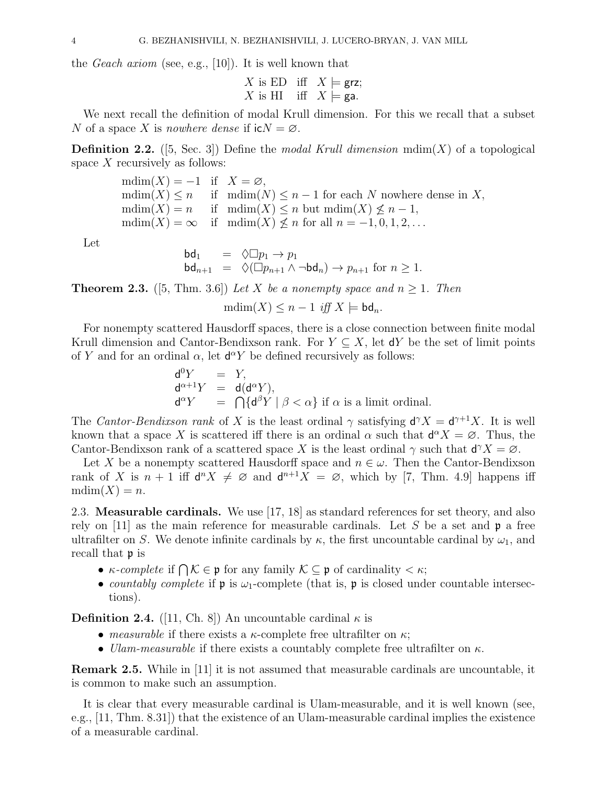the Geach axiom (see, e.g., [10]). It is well known that

$$
X \text{ is ED iff } X \models \text{grz};
$$
  

$$
X \text{ is HI iff } X \models \text{ga.}
$$

We next recall the definition of modal Krull dimension. For this we recall that a subset N of a space X is nowhere dense if  $i cN = \emptyset$ .

**Definition 2.2.** ([5, Sec. 3]) Define the *modal Krull dimension*  $\text{mdim}(X)$  of a topological space  $X$  recursively as follows:

> $mdim(X) = -1$  if  $X = \emptyset$ ,  $\text{mdim}(X) \leq n$  if  $\text{mdim}(N) \leq n-1$  for each N nowhere dense in X,  $mdim(X) = n$  if  $mdim(X) \leq n$  but  $mdim(X) \nleq n-1$ ,  $\text{mdim}(X) = \infty$  if  $\text{mdim}(X) \not\leq n$  for all  $n = -1, 0, 1, 2, \ldots$

Let

$$
\begin{array}{rcl}\n\mathsf{bd}_1 & = & \Diamond \Box p_1 \to p_1 \\
\mathsf{bd}_{n+1} & = & \Diamond (\Box p_{n+1} \land \neg \mathsf{bd}_n) \to p_{n+1} \text{ for } n \ge 1.\n\end{array}
$$

**Theorem 2.3.** ([5, Thm. 3.6]) Let X be a nonempty space and  $n \ge 1$ . Then

 $\text{mdim}(X) \leq n-1$  iff  $X \models \text{bd}_n$ .

For nonempty scattered Hausdorff spaces, there is a close connection between finite modal Krull dimension and Cantor-Bendixson rank. For  $Y \subseteq X$ , let dY be the set of limit points of Y and for an ordinal  $\alpha$ , let  $d^{\alpha}Y$  be defined recursively as follows:

$$
\begin{array}{rcl}\n\mathsf{d}^0 Y & = & Y, \\
\mathsf{d}^{\alpha+1} Y & = & \mathsf{d}(\mathsf{d}^\alpha Y), \\
\mathsf{d}^\alpha Y & = & \bigcap \{\mathsf{d}^\beta Y \mid \beta < \alpha\} \text{ if } \alpha \text{ is a limit ordinal.}\n\end{array}
$$

The Cantor-Bendixson rank of X is the least ordinal  $\gamma$  satisfying  $d^{\gamma}X = d^{\gamma+1}X$ . It is well known that a space X is scattered iff there is an ordinal  $\alpha$  such that  $d^{\alpha}X = \emptyset$ . Thus, the Cantor-Bendixson rank of a scattered space X is the least ordinal  $\gamma$  such that  $d^{\gamma}X = \emptyset$ .

Let X be a nonempty scattered Hausdorff space and  $n \in \omega$ . Then the Cantor-Bendixson rank of X is  $n+1$  iff  $d^n X \neq \emptyset$  and  $d^{n+1}X = \emptyset$ , which by [7, Thm. 4.9] happens iff  $mdim(X) = n.$ 

2.3. Measurable cardinals. We use [17, 18] as standard references for set theory, and also rely on  $|11|$  as the main reference for measurable cardinals. Let S be a set and  $\mathfrak{p}$  a free ultrafilter on S. We denote infinite cardinals by  $\kappa$ , the first uncountable cardinal by  $\omega_1$ , and recall that p is

- $\kappa$ -complete if  $\bigcap \mathcal{K} \in \mathfrak{p}$  for any family  $\mathcal{K} \subseteq \mathfrak{p}$  of cardinality  $\lt \kappa$ ;
- countably complete if  $\mathfrak p$  is  $\omega_1$ -complete (that is,  $\mathfrak p$  is closed under countable intersections).

**Definition 2.4.** ([11, Ch. 8]) An uncountable cardinal  $\kappa$  is

- measurable if there exists a  $\kappa$ -complete free ultrafilter on  $\kappa$ ;
- Ulam-measurable if there exists a countably complete free ultrafilter on  $\kappa$ .

Remark 2.5. While in [11] it is not assumed that measurable cardinals are uncountable, it is common to make such an assumption.

It is clear that every measurable cardinal is Ulam-measurable, and it is well known (see, e.g., [11, Thm. 8.31]) that the existence of an Ulam-measurable cardinal implies the existence of a measurable cardinal.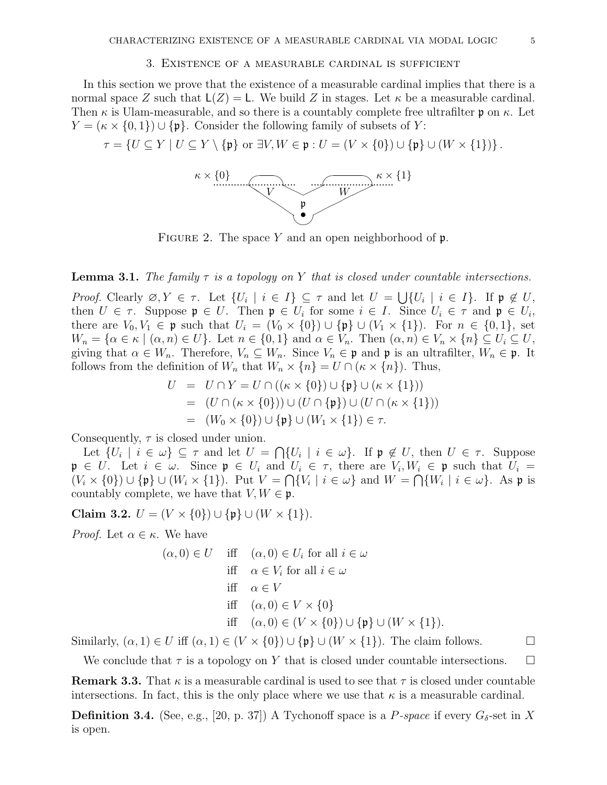# 3. Existence of a measurable cardinal is sufficient

In this section we prove that the existence of a measurable cardinal implies that there is a normal space Z such that  $L(Z) = L$ . We build Z in stages. Let  $\kappa$  be a measurable cardinal. Then  $\kappa$  is Ulam-measurable, and so there is a countably complete free ultrafilter p on  $\kappa$ . Let  $Y = (\kappa \times \{0, 1\}) \cup \{\mathfrak{p}\}\)$ . Consider the following family of subsets of Y:

 $\tau = \{U \subseteq Y \mid U \subseteq Y \setminus \{\mathfrak{p}\}\text{ or }\exists V, W \in \mathfrak{p}: U = (V \times \{0\}) \cup \{\mathfrak{p}\} \cup (W \times \{1\})\}.$ 



FIGURE 2. The space Y and an open neighborhood of  $\mathfrak{p}$ .

# **Lemma 3.1.** The family  $\tau$  is a topology on Y that is closed under countable intersections.

Proof. Clearly  $\emptyset, Y \in \tau$ . Let  $\{U_i \mid i \in I\} \subseteq \tau$  and let  $U = \bigcup \{U_i \mid i \in I\}$ . If  $\mathfrak{p} \notin U$ , then  $U \in \tau$ . Suppose  $\mathfrak{p} \in U$ . Then  $\mathfrak{p} \in U_i$  for some  $i \in I$ . Since  $U_i \in \tau$  and  $\mathfrak{p} \in U_i$ , there are  $V_0, V_1 \in \mathfrak{p}$  such that  $U_i = (V_0 \times \{0\}) \cup \{\mathfrak{p}\} \cup (V_1 \times \{1\})$ . For  $n \in \{0,1\}$ , set  $W_n = \{ \alpha \in \kappa \mid (\alpha, n) \in U \}.$  Let  $n \in \{0, 1\}$  and  $\alpha \in V_n$ . Then  $(\alpha, n) \in V_n \times \{n\} \subseteq U_i \subseteq U$ , giving that  $\alpha \in W_n$ . Therefore,  $V_n \subseteq W_n$ . Since  $V_n \in \mathfrak{p}$  and  $\mathfrak{p}$  is an ultrafilter,  $W_n \in \mathfrak{p}$ . It follows from the definition of  $W_n$  that  $W_n \times \{n\} = U \cap (\kappa \times \{n\})$ . Thus,

$$
U = U \cap Y = U \cap ((\kappa \times \{0\}) \cup \{\mathfrak{p}\} \cup (\kappa \times \{1\}))
$$
  
= 
$$
(U \cap (\kappa \times \{0\})) \cup (U \cap \{\mathfrak{p}\}) \cup (U \cap (\kappa \times \{1\}))
$$
  
= 
$$
(W_0 \times \{0\}) \cup \{\mathfrak{p}\} \cup (W_1 \times \{1\}) \in \tau.
$$

Consequently,  $\tau$  is closed under union.

Let  $\{U_i \mid i \in \omega\} \subseteq \tau$  and let  $U = \bigcap \{U_i \mid i \in \omega\}$ . If  $\mathfrak{p} \notin U$ , then  $U \in \tau$ . Suppose  $\mathfrak{p} \in U$ . Let  $i \in \omega$ . Since  $\mathfrak{p} \in U_i$  and  $U_i \in \tau$ , there are  $V_i, W_i \in \mathfrak{p}$  such that  $U_i =$  $(V_i \times \{0\}) \cup \{\mathfrak{p}\} \cup (W_i \times \{1\}).$  Put  $V = \bigcap \{V_i \mid i \in \omega\}$  and  $W = \bigcap \{W_i \mid i \in \omega\}.$  As p is countably complete, we have that  $V, W \in \mathfrak{p}$ .

Claim 3.2.  $U = (V \times \{0\}) \cup \{\mathfrak{p}\} \cup (W \times \{1\}).$ 

*Proof.* Let  $\alpha \in \kappa$ . We have

$$
(\alpha, 0) \in U \quad \text{iff} \quad (\alpha, 0) \in U_i \text{ for all } i \in \omega
$$
\n
$$
\text{iff} \quad \alpha \in V_i \text{ for all } i \in \omega
$$
\n
$$
\text{iff} \quad \alpha \in V
$$
\n
$$
\text{iff} \quad (\alpha, 0) \in V \times \{0\}
$$
\n
$$
\text{iff} \quad (\alpha, 0) \in (V \times \{0\}) \cup \{\mathfrak{p}\} \cup (W \times \{1\}).
$$

Similarly,  $(\alpha, 1) \in U$  iff  $(\alpha, 1) \in (V \times \{0\}) \cup \{\mathfrak{p}\} \cup (W \times \{1\})$ . The claim follows.

We conclude that  $\tau$  is a topology on Y that is closed under countable intersections.  $\Box$ 

**Remark 3.3.** That  $\kappa$  is a measurable cardinal is used to see that  $\tau$  is closed under countable intersections. In fact, this is the only place where we use that  $\kappa$  is a measurable cardinal.

**Definition 3.4.** (See, e.g., [20, p. 37]) A Tychonoff space is a P-space if every  $G_{\delta}$ -set in X is open.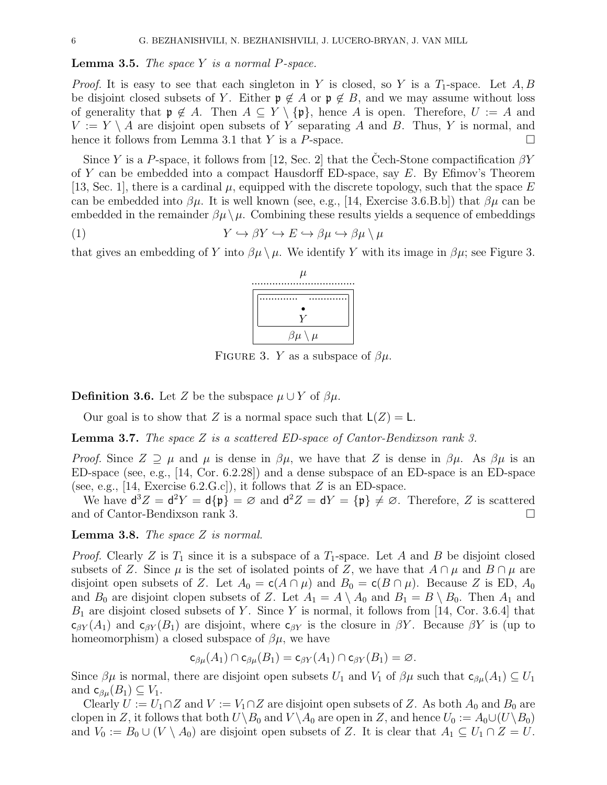#### **Lemma 3.5.** The space  $Y$  is a normal  $P$ -space.

*Proof.* It is easy to see that each singleton in Y is closed, so Y is a  $T_1$ -space. Let A, B be disjoint closed subsets of Y. Either  $\mathfrak{p} \notin A$  or  $\mathfrak{p} \notin B$ , and we may assume without loss of generality that  $\mathfrak{p} \notin A$ . Then  $A \subseteq Y \setminus \{\mathfrak{p}\}\)$ , hence A is open. Therefore,  $U := A$  and  $V := Y \setminus A$  are disjoint open subsets of Y separating A and B. Thus, Y is normal, and hence it follows from Lemma 3.1 that Y is a P-space.  $\Box$ 

Since Y is a P-space, it follows from [12, Sec. 2] that the Cech-Stone compactification  $\beta Y$ of Y can be embedded into a compact Hausdorff ED-space, say  $E$ . By Efimov's Theorem [13, Sec. 1], there is a cardinal  $\mu$ , equipped with the discrete topology, such that the space E can be embedded into  $\beta\mu$ . It is well known (see, e.g., [14, Exercise 3.6.B.b]) that  $\beta\mu$  can be embedded in the remainder  $\beta\mu\setminus\mu$ . Combining these results yields a sequence of embeddings

(1) 
$$
Y \hookrightarrow \beta Y \hookrightarrow E \hookrightarrow \beta \mu \hookrightarrow \beta \mu \setminus \mu
$$

that gives an embedding of Y into  $\beta\mu \setminus \mu$ . We identify Y with its image in  $\beta\mu$ ; see Figure 3.



FIGURE 3. Y as a subspace of  $\beta\mu$ .

**Definition 3.6.** Let Z be the subspace  $\mu \cup Y$  of  $\beta\mu$ .

Our goal is to show that Z is a normal space such that  $L(Z) = L$ .

**Lemma 3.7.** The space  $Z$  is a scattered ED-space of Cantor-Bendixson rank 3.

Proof. Since  $Z \supseteq \mu$  and  $\mu$  is dense in  $\beta\mu$ , we have that Z is dense in  $\beta\mu$ . As  $\beta\mu$  is an ED-space (see, e.g., [14, Cor. 6.2.28]) and a dense subspace of an ED-space is an ED-space (see, e.g., [14, Exercise  $(6.2 \text{ G.c})$ ), it follows that Z is an ED-space.

We have  $d^3Z = d^2Y = d\{\mathfrak{p}\}\ = \varnothing$  and  $d^2Z = dY = \{\mathfrak{p}\}\neq \varnothing$ . Therefore, Z is scattered and of Cantor-Bendixson rank 3.

**Lemma 3.8.** The space  $Z$  is normal.

*Proof.* Clearly Z is  $T_1$  since it is a subspace of a  $T_1$ -space. Let A and B be disjoint closed subsets of Z. Since  $\mu$  is the set of isolated points of Z, we have that  $A \cap \mu$  and  $B \cap \mu$  are disjoint open subsets of Z. Let  $A_0 = c(A \cap \mu)$  and  $B_0 = c(B \cap \mu)$ . Because Z is ED,  $A_0$ and  $B_0$  are disjoint clopen subsets of Z. Let  $A_1 = A \setminus A_0$  and  $B_1 = B \setminus B_0$ . Then  $A_1$  and  $B_1$  are disjoint closed subsets of Y. Since Y is normal, it follows from [14, Cor. 3.6.4] that  $c_{\beta Y}(A_1)$  and  $c_{\beta Y}(B_1)$  are disjoint, where  $c_{\beta Y}$  is the closure in  $\beta Y$ . Because  $\beta Y$  is (up to homeomorphism) a closed subspace of  $\beta\mu$ , we have

$$
\mathsf c_{\beta\mu}(A_1)\cap\mathsf c_{\beta\mu}(B_1)=\mathsf c_{\beta Y}(A_1)\cap\mathsf c_{\beta Y}(B_1)=\varnothing.
$$

Since  $\beta\mu$  is normal, there are disjoint open subsets  $U_1$  and  $V_1$  of  $\beta\mu$  such that  $c_{\beta\mu}(A_1) \subseteq U_1$ and  $c_{\beta\mu}(B_1) \subseteq V_1$ .

Clearly  $U := U_1 \cap Z$  and  $V := V_1 \cap Z$  are disjoint open subsets of Z. As both  $A_0$  and  $B_0$  are clopen in Z, it follows that both  $U\backslash B_0$  and  $V\backslash A_0$  are open in Z, and hence  $U_0 := A_0 \cup (U\backslash B_0)$ and  $V_0 := B_0 \cup (V \setminus A_0)$  are disjoint open subsets of Z. It is clear that  $A_1 \subseteq U_1 \cap Z = U$ .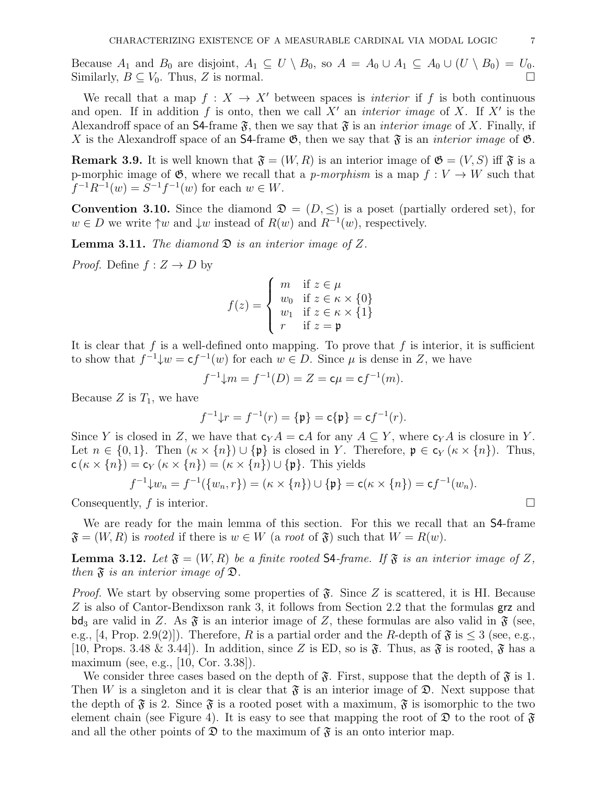Because  $A_1$  and  $B_0$  are disjoint,  $A_1 \subseteq U \setminus B_0$ , so  $A = A_0 \cup A_1 \subseteq A_0 \cup (U \setminus B_0) = U_0$ . Similarly,  $B \subseteq V_0$ . Thus, Z is normal.

We recall that a map  $f: X \to X'$  between spaces is *interior* if f is both continuous and open. If in addition f is onto, then we call  $X'$  an *interior image* of X. If  $X'$  is the Alexandroff space of an **S4**-frame  $\mathfrak{F}$ , then we say that  $\mathfrak{F}$  is an *interior image* of X. Finally, if X is the Alexandroff space of an S4-frame  $\mathfrak{G}$ , then we say that  $\mathfrak{F}$  is an *interior image* of  $\mathfrak{G}$ .

**Remark 3.9.** It is well known that  $\mathfrak{F} = (W, R)$  is an interior image of  $\mathfrak{G} = (V, S)$  iff  $\mathfrak{F}$  is a p-morphic image of  $\mathfrak{G}$ , where we recall that a p-morphism is a map  $f: V \to W$  such that  $f^{-1}R^{-1}(w) = S^{-1}f^{-1}(w)$  for each  $w \in W$ .

**Convention 3.10.** Since the diamond  $\mathfrak{D} = (D, \leq)$  is a poset (partially ordered set), for  $w \in D$  we write  $\uparrow w$  and  $\downarrow w$  instead of  $R(w)$  and  $R^{-1}(w)$ , respectively.

**Lemma 3.11.** The diamond  $\mathfrak{D}$  is an interior image of Z.

*Proof.* Define  $f: Z \to D$  by

$$
f(z) = \begin{cases} m & \text{if } z \in \mu \\ w_0 & \text{if } z \in \kappa \times \{0\} \\ w_1 & \text{if } z \in \kappa \times \{1\} \\ r & \text{if } z = \mathfrak{p} \end{cases}
$$

It is clear that f is a well-defined onto mapping. To prove that f is interior, it is sufficient to show that  $f^{-1}\downarrow w = \mathsf{c} f^{-1}(w)$  for each  $w \in D$ . Since  $\mu$  is dense in Z, we have

 $f^{-1}\downarrow m = f^{-1}(D) = Z = c\mu = cf^{-1}(m).$ 

Because Z is  $T_1$ , we have

$$
f^{-1}\downarrow r = f^{-1}(r) = {\mathfrak{p}} = {\mathfrak{c}}{\mathfrak{p}} = {\mathfrak{c}}f^{-1}(r).
$$

Since Y is closed in Z, we have that  $c_Y A = cA$  for any  $A \subseteq Y$ , where  $c_Y A$  is closure in Y. Let  $n \in \{0,1\}$ . Then  $(\kappa \times \{n\}) \cup \{\mathfrak{p}\}\$ is closed in Y. Therefore,  $\mathfrak{p} \in \mathsf{c}_Y (\kappa \times \{n\})$ . Thus,  $c(\kappa \times \{n\}) = c_Y (\kappa \times \{n\}) = (\kappa \times \{n\}) \cup \{\mathfrak{p}\}.$  This yields

$$
f^{-1}\downarrow w_n = f^{-1}(\{w_n, r\}) = (\kappa \times \{n\}) \cup \{\mathfrak{p}\} = \mathsf{c}(\kappa \times \{n\}) = \mathsf{c}f^{-1}(w_n).
$$

Consequently,  $f$  is interior.

We are ready for the main lemma of this section. For this we recall that an S4-frame  $\mathfrak{F} = (W, R)$  is rooted if there is  $w \in W$  (a root of  $\mathfrak{F}$ ) such that  $W = R(w)$ .

**Lemma 3.12.** Let  $\mathfrak{F} = (W, R)$  be a finite rooted S4-frame. If  $\mathfrak{F}$  is an interior image of Z, then  $\mathfrak F$  is an interior image of  $\mathfrak D$ .

*Proof.* We start by observing some properties of  $\mathfrak{F}$ . Since Z is scattered, it is HI. Because Z is also of Cantor-Bendixson rank 3, it follows from Section 2.2 that the formulas grz and  $\mathsf{bd}_3$  are valid in Z. As  $\mathfrak{F}$  is an interior image of Z, these formulas are also valid in  $\mathfrak{F}$  (see, e.g., [4, Prop. 2.9(2)]). Therefore, R is a partial order and the R-depth of  $\mathfrak{F}$  is  $\leq 3$  (see, e.g., [10, Props. 3.48 & 3.44]). In addition, since Z is ED, so is  $\mathfrak{F}$ . Thus, as  $\mathfrak{F}$  is rooted,  $\mathfrak{F}$  has a maximum (see, e.g., [10, Cor. 3.38]).

We consider three cases based on the depth of  $\mathfrak{F}$ . First, suppose that the depth of  $\mathfrak{F}$  is 1. Then W is a singleton and it is clear that  $\mathfrak F$  is an interior image of  $\mathfrak D$ . Next suppose that the depth of  $\mathfrak{F}$  is 2. Since  $\mathfrak{F}$  is a rooted poset with a maximum,  $\mathfrak{F}$  is isomorphic to the two element chain (see Figure 4). It is easy to see that mapping the root of  $\mathfrak D$  to the root of  $\mathfrak F$ and all the other points of  $\mathfrak D$  to the maximum of  $\mathfrak F$  is an onto interior map.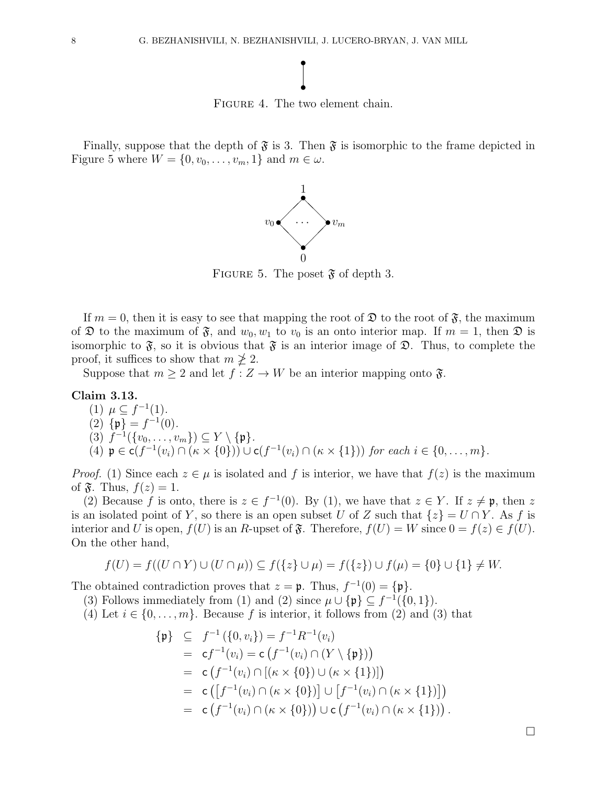# • •

FIGURE 4. The two element chain.

Finally, suppose that the depth of  $\mathfrak{F}$  is 3. Then  $\mathfrak{F}$  is isomorphic to the frame depicted in Figure 5 where  $W = \{0, v_0, \ldots, v_m, 1\}$  and  $m \in \omega$ .



FIGURE 5. The poset  $\mathfrak{F}$  of depth 3.

If  $m = 0$ , then it is easy to see that mapping the root of  $\mathfrak{D}$  to the root of  $\mathfrak{F}$ , the maximum of  $\mathfrak D$  to the maximum of  $\mathfrak F$ , and  $w_0, w_1$  to  $v_0$  is an onto interior map. If  $m = 1$ , then  $\mathfrak D$  is isomorphic to  $\mathfrak{F}$ , so it is obvious that  $\mathfrak{F}$  is an interior image of  $\mathfrak{D}$ . Thus, to complete the proof, it suffices to show that  $m \not\geq 2$ .

Suppose that  $m \geq 2$  and let  $f: Z \to W$  be an interior mapping onto  $\mathfrak{F}$ .

# Claim 3.13.

- (1)  $\mu \subseteq f^{-1}(1)$ .
- (2)  $\{\mathfrak{p}\}=f^{-1}(0)$ .

$$
(3) f^{-1}(\{v_0,\ldots,v_m\}) \subseteq Y \setminus \{\mathfrak{p}\}.
$$

(4)  $\mathfrak{p} \in \mathsf{c}(f^{-1}(v_i) \cap (\kappa \times \{0\})) \cup \mathsf{c}(f^{-1}(v_i) \cap (\kappa \times \{1\}))$  for each  $i \in \{0, \ldots, m\}$ .

*Proof.* (1) Since each  $z \in \mu$  is isolated and f is interior, we have that  $f(z)$  is the maximum of  $\mathfrak{F}$ . Thus,  $f(z) = 1$ .

(2) Because f is onto, there is  $z \in f^{-1}(0)$ . By (1), we have that  $z \in Y$ . If  $z \neq \mathfrak{p}$ , then z is an isolated point of Y, so there is an open subset U of Z such that  $\{z\} = U \cap Y$ . As f is interior and U is open,  $f(U)$  is an R-upset of  $\mathfrak{F}$ . Therefore,  $f(U) = W$  since  $0 = f(z) \in f(U)$ . On the other hand,

$$
f(U) = f((U \cap Y) \cup (U \cap \mu)) \subseteq f(\{z\} \cup \mu) = f(\{z\}) \cup f(\mu) = \{0\} \cup \{1\} \neq W.
$$

The obtained contradiction proves that  $z = \mathfrak{p}$ . Thus,  $f^{-1}(0) = {\mathfrak{p}}$ .

(3) Follows immediately from (1) and (2) since  $\mu \cup {\{\mathfrak{p}\}} \subseteq f^{-1}(\{0,1\}).$ 

(4) Let  $i \in \{0, \ldots, m\}$ . Because f is interior, it follows from (2) and (3) that

$$
\begin{aligned}\n\{\mathfrak{p}\} &\subseteq f^{-1}(\{0, v_i\}) = f^{-1}R^{-1}(v_i) \\
&= c f^{-1}(v_i) = c \left( f^{-1}(v_i) \cap (Y \setminus \{\mathfrak{p}\}) \right) \\
&= c \left( f^{-1}(v_i) \cap [(\kappa \times \{0\}) \cup (\kappa \times \{1\})] \right) \\
&= c \left( \left[ f^{-1}(v_i) \cap (\kappa \times \{0\}) \right] \cup \left[ f^{-1}(v_i) \cap (\kappa \times \{1\}) \right] \right) \\
&= c \left( f^{-1}(v_i) \cap (\kappa \times \{0\}) \right) \cup c \left( f^{-1}(v_i) \cap (\kappa \times \{1\}) \right).\n\end{aligned}
$$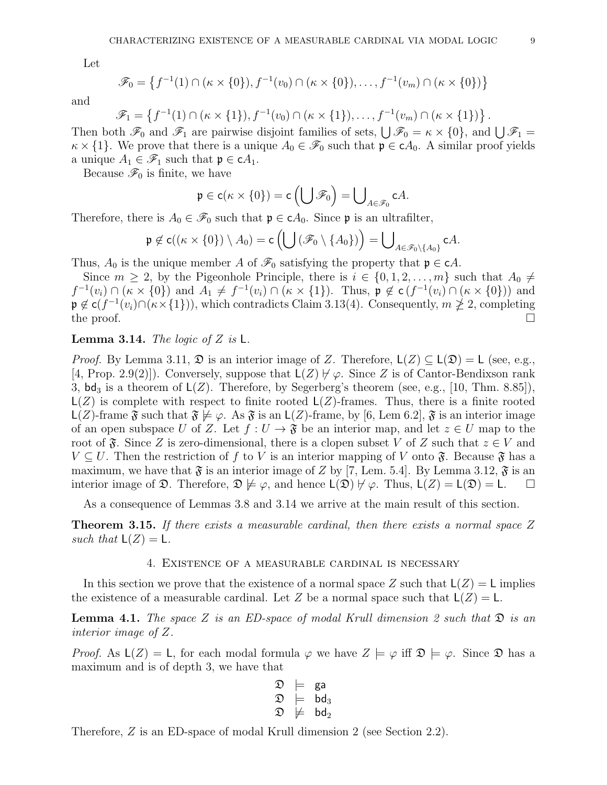Let

$$
\mathscr{F}_0 = \left\{ f^{-1}(1) \cap (\kappa \times \{0\}), f^{-1}(v_0) \cap (\kappa \times \{0\}), \dots, f^{-1}(v_m) \cap (\kappa \times \{0\}) \right\}
$$

and

$$
\mathscr{F}_1 = \left\{ f^{-1}(1) \cap (\kappa \times \{1\}), f^{-1}(v_0) \cap (\kappa \times \{1\}), \dots, f^{-1}(v_m) \cap (\kappa \times \{1\}) \right\}.
$$

Then both  $\mathscr{F}_0$  and  $\mathscr{F}_1$  are pairwise disjoint families of sets,  $\bigcup \mathscr{F}_0 = \kappa \times \{0\}$ , and  $\bigcup \mathscr{F}_1 =$  $\kappa \times \{1\}$ . We prove that there is a unique  $A_0 \in \mathscr{F}_0$  such that  $\mathfrak{p} \in cA_0$ . A similar proof yields a unique  $A_1 \in \mathscr{F}_1$  such that  $\mathfrak{p} \in cA_1$ .

Because  $\mathscr{F}_0$  is finite, we have

$$
\mathfrak{p} \in \mathsf{c}(\kappa \times \{0\}) = \mathsf{c}\left(\bigcup \mathscr{F}_0\right) = \bigcup_{A \in \mathscr{F}_0} \mathsf{c}A.
$$

Therefore, there is  $A_0 \in \mathscr{F}_0$  such that  $\mathfrak{p} \in cA_0$ . Since  $\mathfrak{p}$  is an ultrafilter,

$$
\mathfrak{p} \not\in \mathsf{c}((\kappa \times \{0\}) \setminus A_0) = \mathsf{c}\left(\bigcup \left(\mathscr{F}_0 \setminus \{A_0\}\right)\right) = \bigcup_{A \in \mathscr{F}_0 \setminus \{A_0\}} \mathsf{c}A.
$$

Thus,  $A_0$  is the unique member A of  $\mathcal{F}_0$  satisfying the property that  $\mathfrak{p} \in cA$ .

Since  $m \geq 2$ , by the Pigeonhole Principle, there is  $i \in \{0, 1, 2, \ldots, m\}$  such that  $A_0 \neq$  $f^{-1}(v_i) \cap (\kappa \times \{0\})$  and  $A_1 \neq f^{-1}(v_i) \cap (\kappa \times \{1\})$ . Thus,  $\mathfrak{p} \notin \mathsf{c}(f^{-1}(v_i) \cap (\kappa \times \{0\}))$  and  $\mathfrak{p} \notin \mathsf{c}(f^{-1}(v_i) \cap (\kappa \times \{1\})),$  which contradicts Claim 3.13(4). Consequently,  $m \ngeq 2$ , completing the proof.  $\Box$ 

# **Lemma 3.14.** The logic of Z is  $\mathsf{L}$ .

*Proof.* By Lemma 3.11,  $\mathfrak{D}$  is an interior image of Z. Therefore,  $\mathsf{L}(Z) \subseteq \mathsf{L}(\mathfrak{D}) = \mathsf{L}$  (see, e.g., [4, Prop. 2.9(2)]). Conversely, suppose that  $L(Z) \nvDash \varphi$ . Since Z is of Cantor-Bendixson rank 3,  $bd_3$  is a theorem of  $L(Z)$ . Therefore, by Segerberg's theorem (see, e.g., [10, Thm. 8.85]),  $L(Z)$  is complete with respect to finite rooted  $L(Z)$ -frames. Thus, there is a finite rooted  $\mathsf{L}(Z)$ -frame  $\mathfrak{F}$  such that  $\mathfrak{F} \not\models \varphi$ . As  $\mathfrak{F}$  is an  $\mathsf{L}(Z)$ -frame, by [6, Lem 6.2],  $\mathfrak{F}$  is an interior image of an open subspace U of Z. Let  $f: U \to \mathfrak{F}$  be an interior map, and let  $z \in U$  map to the root of  $\mathfrak{F}$ . Since Z is zero-dimensional, there is a clopen subset V of Z such that  $z \in V$  and  $V \subset U$ . Then the restriction of f to V is an interior mapping of V onto  $\mathfrak{F}$ . Because  $\mathfrak{F}$  has a maximum, we have that  $\mathfrak{F}$  is an interior image of Z by [7, Lem. 5.4]. By Lemma 3.12,  $\mathfrak{F}$  is an interior image of  $\mathfrak{D}$ . Therefore,  $\mathfrak{D} \not\models \varphi$ , and hence  $\mathsf{L}(\mathfrak{D}) \not\models \varphi$ . Thus,  $\mathsf{L}(Z) = \mathsf{L}(\mathfrak{D}) = \mathsf{L}$ .  $\Box$ 

As a consequence of Lemmas 3.8 and 3.14 we arrive at the main result of this section.

**Theorem 3.15.** If there exists a measurable cardinal, then there exists a normal space  $Z$ such that  $L(Z) = L$ .

# 4. Existence of a measurable cardinal is necessary

In this section we prove that the existence of a normal space Z such that  $L(Z) = L$  implies the existence of a measurable cardinal. Let Z be a normal space such that  $L(Z) = L$ .

**Lemma 4.1.** The space Z is an ED-space of modal Krull dimension 2 such that  $\mathfrak{D}$  is an interior image of Z.

*Proof.* As  $L(Z) = L$ , for each modal formula  $\varphi$  we have  $Z \models \varphi$  iff  $\mathfrak{D} \models \varphi$ . Since  $\mathfrak{D}$  has a maximum and is of depth 3, we have that

$$
\begin{array}{ccc} \mathfrak{D} & \models & \mathsf{g}\mathsf{a} \\ \mathfrak{D} & \models & \mathsf{bd}_3 \\ \mathfrak{D} & \not\models & \mathsf{bd}_2 \end{array}
$$

Therefore, Z is an ED-space of modal Krull dimension 2 (see Section 2.2).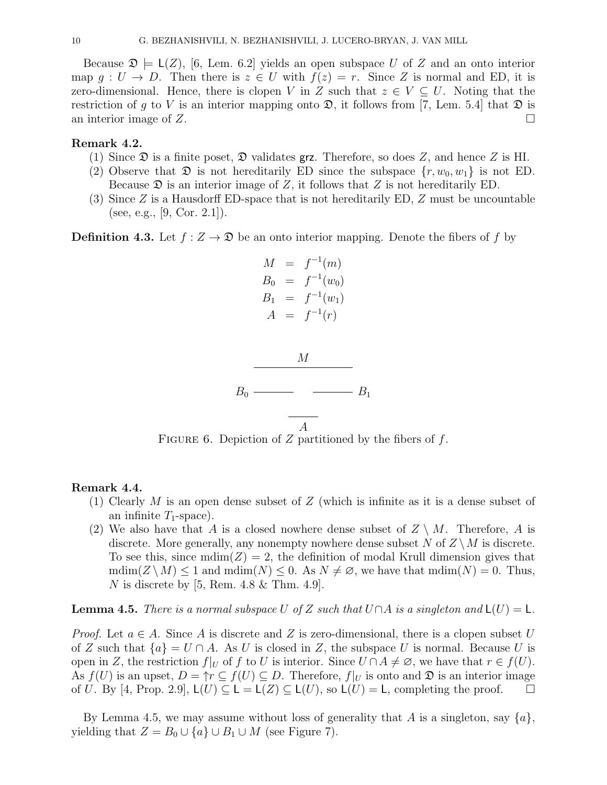Because  $\mathfrak{D} \models L(Z)$ , [6, Lem. 6.2] yields an open subspace U of Z and an onto interior map  $g: U \to D$ . Then there is  $z \in U$  with  $f(z) = r$ . Since Z is normal and ED, it is zero-dimensional. Hence, there is clopen V in Z such that  $z \in V \subseteq U$ . Noting that the restriction of q to V is an interior mapping onto  $\mathfrak{D}$ , it follows from [7, Lem. 5.4] that  $\mathfrak{D}$  is an interior image of  $Z$ .

# Remark 4.2.

- (1) Since  $\mathfrak D$  is a finite poset,  $\mathfrak D$  validates grz. Therefore, so does Z, and hence Z is HI.
- (2) Observe that  $\mathfrak D$  is not hereditarily ED since the subspace  $\{r, w_0, w_1\}$  is not ED. Because  $\mathfrak D$  is an interior image of Z, it follows that Z is not hereditarily ED.
- (3) Since  $Z$  is a Hausdorff ED-space that is not hereditarily ED,  $Z$  must be uncountable (see, e.g., [9, Cor. 2.1]).

**Definition 4.3.** Let  $f : Z \to \mathcal{D}$  be an onto interior mapping. Denote the fibers of f by



FIGURE 6. Depiction of  $Z$  partitioned by the fibers of  $f$ .

# Remark 4.4.

- (1) Clearly  $M$  is an open dense subset of  $Z$  (which is infinite as it is a dense subset of an infinite  $T_1$ -space).
- (2) We also have that A is a closed nowhere dense subset of  $Z \setminus M$ . Therefore, A is discrete. More generally, any nonempty nowhere dense subset N of  $Z \setminus M$  is discrete. To see this, since  $\text{mdim}(Z) = 2$ , the definition of modal Krull dimension gives that  $\text{mdim}(Z \setminus M) \leq 1$  and  $\text{mdim}(N) \leq 0$ . As  $N \neq \emptyset$ , we have that  $\text{mdim}(N) = 0$ . Thus, N is discrete by [5, Rem.  $4.8 \&$  Thm.  $4.9$ ].

**Lemma 4.5.** There is a normal subspace U of Z such that  $U \cap A$  is a singleton and  $L(U) = L$ .

*Proof.* Let  $a \in A$ . Since A is discrete and Z is zero-dimensional, there is a clopen subset U of Z such that  ${a} = U \cap A$ . As U is closed in Z, the subspace U is normal. Because U is open in Z, the restriction  $f|_U$  of f to U is interior. Since  $U \cap A \neq \emptyset$ , we have that  $r \in f(U)$ . As  $f(U)$  is an upset,  $D = \Upsilon \subseteq f(U) \subseteq D$ . Therefore,  $f|_U$  is onto and  $\mathfrak D$  is an interior image of U. By [4, Prop. 2.9],  $L(U) \subseteq L = L(Z) \subseteq L(U)$ , so  $L(U) = L$ , completing the proof.  $\square$ 

By Lemma 4.5, we may assume without loss of generality that A is a singleton, say  $\{a\}$ , yielding that  $Z = B_0 \cup \{a\} \cup B_1 \cup M$  (see Figure 7).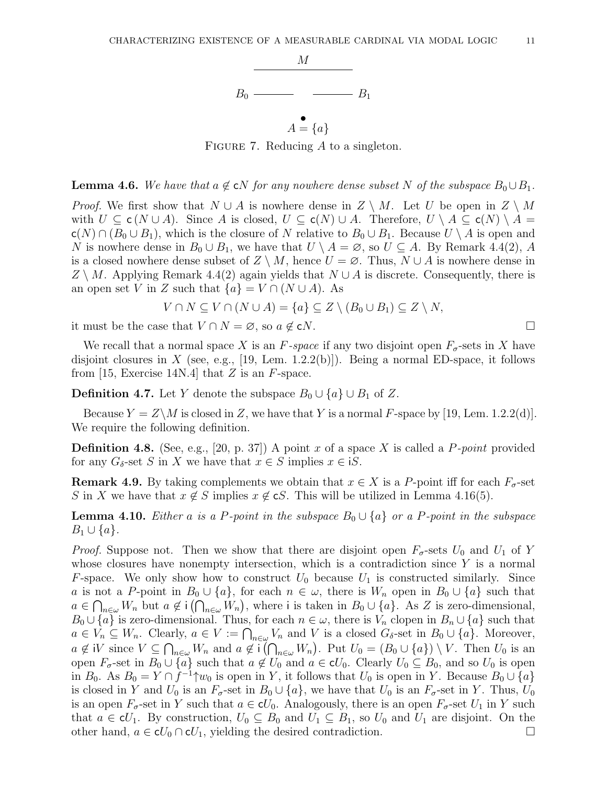

FIGURE 7. Reducing  $A$  to a singleton.

 $A = \{a\}$ 

#### **Lemma 4.6.** We have that  $a \notin cN$  for any nowhere dense subset N of the subspace  $B_0 \cup B_1$ .

*Proof.* We first show that  $N \cup A$  is nowhere dense in  $Z \setminus M$ . Let U be open in  $Z \setminus M$ with  $U \subseteq c(N \cup A)$ . Since A is closed,  $U \subseteq c(N) \cup A$ . Therefore,  $U \setminus A \subseteq c(N) \setminus A =$  $c(N) \cap (B_0 \cup B_1)$ , which is the closure of N relative to  $B_0 \cup B_1$ . Because  $U \setminus A$  is open and N is nowhere dense in  $B_0 \cup B_1$ , we have that  $U \setminus A = \emptyset$ , so  $U \subseteq A$ . By Remark 4.4(2), A is a closed nowhere dense subset of  $Z \setminus M$ , hence  $U = \emptyset$ . Thus,  $N \cup A$  is nowhere dense in  $Z \setminus M$ . Applying Remark 4.4(2) again yields that  $N \cup A$  is discrete. Consequently, there is an open set V in Z such that  ${a} = V \cap (N \cup A)$ . As

$$
V \cap N \subseteq V \cap (N \cup A) = \{a\} \subseteq Z \setminus (B_0 \cup B_1) \subseteq Z \setminus N,
$$

it must be the case that  $V \cap N = \emptyset$ , so  $a \notin \mathbf{c}N$ .

We recall that a normal space X is an F-space if any two disjoint open  $F_{\sigma}$ -sets in X have disjoint closures in X (see, e.g., [19, Lem. 1.2.2(b)]). Being a normal ED-space, it follows from [15, Exercise 14N.4] that  $Z$  is an  $F$ -space.

**Definition 4.7.** Let Y denote the subspace  $B_0 \cup \{a\} \cup B_1$  of Z.

Because  $Y = Z\backslash M$  is closed in Z, we have that Y is a normal F-space by [19, Lem. 1.2.2(d)]. We require the following definition.

**Definition 4.8.** (See, e.g., [20, p. 37]) A point x of a space X is called a P-point provided for any  $G_{\delta}$ -set S in X we have that  $x \in S$  implies  $x \in iS$ .

**Remark 4.9.** By taking complements we obtain that  $x \in X$  is a P-point iff for each  $F_{\sigma}$ -set S in X we have that  $x \notin S$  implies  $x \notin \mathcal{S}$ . This will be utilized in Lemma 4.16(5).

**Lemma 4.10.** Either a is a P-point in the subspace  $B_0 \cup \{a\}$  or a P-point in the subspace  $B_1 \cup \{a\}.$ 

*Proof.* Suppose not. Then we show that there are disjoint open  $F_{\sigma}$ -sets  $U_0$  and  $U_1$  of Y whose closures have nonempty intersection, which is a contradiction since  $Y$  is a normal F-space. We only show how to construct  $U_0$  because  $U_1$  is constructed similarly. Since a is not a P-point in  $B_0 \cup \{a\}$ , for each  $n \in \omega$ , there is  $W_n$  open in  $B_0 \cup \{a\}$  such that  $a \in \bigcap_{n \in \omega} W_n$  but  $a \notin i(\bigcap_{n \in \omega} W_n)$ , where i is taken in  $B_0 \cup \{a\}$ . As Z is zero-dimensional,  $B_0 \cup \{a\}$  is zero-dimensional. Thus, for each  $n \in \omega$ , there is  $V_n$  clopen in  $B_n \cup \{a\}$  such that  $a \in V_n \subseteq W_n$ . Clearly,  $a \in V := \bigcap_{n \in \omega} V_n$  and V is a closed  $G_{\delta}$ -set in  $B_0 \cup \{a\}$ . Moreover,  $a \notin iV$  since  $V \subseteq \bigcap_{n \in \omega} W_n$  and  $a \notin i(\bigcap_{n \in \omega} W_n)$ . Put  $U_0 = (B_0 \cup \{a\}) \setminus V$ . Then  $U_0$  is an open  $F_{\sigma}$ -set in  $B_0 \cup \{a\}$  such that  $a \notin U_0$  and  $a \in \mathbf{c}U_0$ . Clearly  $U_0 \subseteq B_0$ , and so  $U_0$  is open in  $B_0$ . As  $B_0 = Y \cap f^{-1} \uparrow w_0$  is open in Y, it follows that  $U_0$  is open in Y. Because  $B_0 \cup \{a\}$ is closed in Y and  $U_0$  is an  $F_{\sigma}$ -set in  $B_0 \cup \{a\}$ , we have that  $U_0$  is an  $F_{\sigma}$ -set in Y. Thus,  $U_0$ is an open  $F_{\sigma}$ -set in Y such that  $a \in \mathbf{c}U_0$ . Analogously, there is an open  $F_{\sigma}$ -set  $U_1$  in Y such that  $a \in \mathcal{C}V_1$ . By construction,  $U_0 \subseteq B_0$  and  $U_1 \subseteq B_1$ , so  $U_0$  and  $U_1$  are disjoint. On the other hand,  $a \in \mathbf{c}U_0 \cap \mathbf{c}U_1$ , yielding the desired contradiction.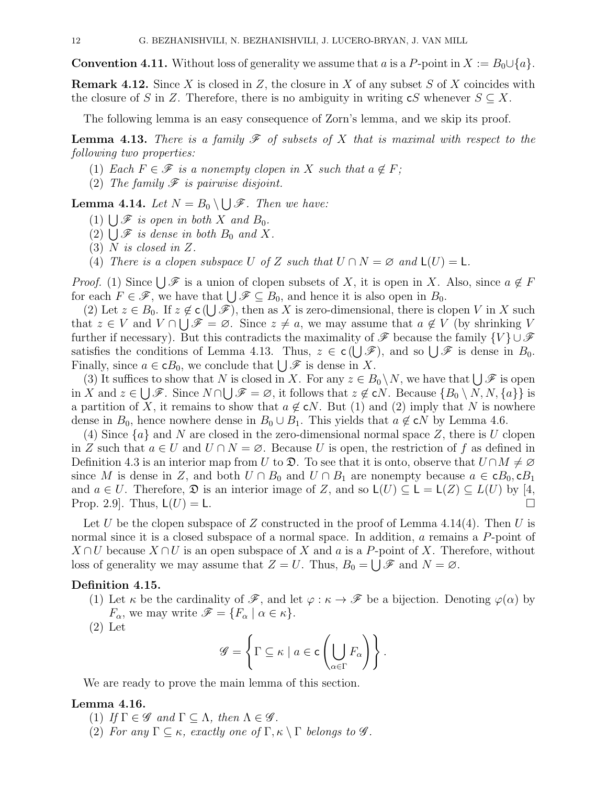**Convention 4.11.** Without loss of generality we assume that a is a P-point in  $X := B_0 \cup \{a\}$ .

**Remark 4.12.** Since X is closed in Z, the closure in X of any subset S of X coincides with the closure of S in Z. Therefore, there is no ambiguity in writing  $cS$  whenever  $S \subseteq X$ .

The following lemma is an easy consequence of Zorn's lemma, and we skip its proof.

**Lemma 4.13.** There is a family  $\mathcal F$  of subsets of X that is maximal with respect to the following two properties:

- (1) Each  $F \in \mathscr{F}$  is a nonempty clopen in X such that  $a \notin F$ ;
- (2) The family  $\mathscr F$  is pairwise disjoint.

**Lemma 4.14.** Let  $N = B_0 \setminus \bigcup \mathscr{F}$ . Then we have:

- (1)  $\bigcup \mathcal{F}$  is open in both X and  $B_0$ .
- (2)  $\bigcup \mathcal{F}$  is dense in both  $B_0$  and X.
- (3) N is closed in Z.
- (4) There is a clopen subspace U of Z such that  $U \cap N = \emptyset$  and  $\mathsf{L}(U) = \mathsf{L}$ .

*Proof.* (1) Since  $\bigcup \mathscr{F}$  is a union of clopen subsets of X, it is open in X. Also, since  $a \notin F$ for each  $F \in \mathscr{F}$ , we have that  $\bigcup \mathscr{F} \subseteq B_0$ , and hence it is also open in  $B_0$ .

(2) Let  $z \in B_0$ . If  $z \notin \mathsf{c}(\bigcup \mathscr{F})$ , then as X is zero-dimensional, there is clopen V in X such that  $z \in V$  and  $V \cap \bigcup \mathscr{F} = \emptyset$ . Since  $z \neq a$ , we may assume that  $a \notin V$  (by shrinking V further if necessary). But this contradicts the maximality of  $\mathscr F$  because the family  $\{V\} \cup \mathscr F$ satisfies the conditions of Lemma 4.13. Thus,  $z \in \mathsf{c}(\bigcup \mathscr{F})$ , and so  $\bigcup \mathscr{F}$  is dense in  $B_0$ . Finally, since  $a \in \mathbf{c}B_0$ , we conclude that  $\bigcup \mathcal{F}$  is dense in X.

(3) It suffices to show that N is closed in X. For any  $z \in B_0 \setminus N$ , we have that  $\bigcup \mathscr{F}$  is open in X and  $z \in \bigcup \mathscr{F}$ . Since  $N \cap \bigcup \mathscr{F} = \varnothing$ , it follows that  $z \notin \mathsf{c}N$ . Because  $\{B_0 \setminus N, N, \{a\}\}$  is a partition of X, it remains to show that  $a \notin \mathsf{c}N$ . But (1) and (2) imply that N is nowhere dense in  $B_0$ , hence nowhere dense in  $B_0 \cup B_1$ . This yields that  $a \notin \infty$  by Lemma 4.6.

(4) Since  $\{a\}$  and N are closed in the zero-dimensional normal space Z, there is U clopen in Z such that  $a \in U$  and  $U \cap N = \emptyset$ . Because U is open, the restriction of f as defined in Definition 4.3 is an interior map from U to  $\mathfrak{D}$ . To see that it is onto, observe that  $U \cap M \neq \emptyset$ since M is dense in Z, and both  $U \cap B_0$  and  $U \cap B_1$  are nonempty because  $a \in \mathbf{c}B_0$ ,  $\mathbf{c}B_1$ and  $a \in U$ . Therefore,  $\mathfrak D$  is an interior image of Z, and so  $\mathsf L(U) \subseteq \mathsf L = \mathsf L(Z) \subseteq L(U)$  by [4, Prop. 2.9. Thus,  $L(U) = L$ .

Let U be the clopen subspace of Z constructed in the proof of Lemma 4.14(4). Then U is normal since it is a closed subspace of a normal space. In addition, a remains a P-point of  $X \cap U$  because  $X \cap U$  is an open subspace of X and a is a P-point of X. Therefore, without loss of generality we may assume that  $Z = U$ . Thus,  $B_0 = \bigcup \mathscr{F}$  and  $N = \emptyset$ .

## Definition 4.15.

- (1) Let  $\kappa$  be the cardinality of  $\mathscr{F}$ , and let  $\varphi : \kappa \to \mathscr{F}$  be a bijection. Denoting  $\varphi(\alpha)$  by  $F_{\alpha}$ , we may write  $\mathscr{F} = \{F_{\alpha} \mid \alpha \in \kappa\}.$
- (2) Let

$$
\mathscr{G} = \left\{ \Gamma \subseteq \kappa \mid a \in \mathsf{c}\left(\bigcup_{\alpha \in \Gamma} F_{\alpha}\right) \right\}.
$$

We are ready to prove the main lemma of this section.

# Lemma 4.16.

- (1) If  $\Gamma \in \mathscr{G}$  and  $\Gamma \subseteq \Lambda$ , then  $\Lambda \in \mathscr{G}$ .
- (2) For any  $\Gamma \subseteq \kappa$ , exactly one of  $\Gamma, \kappa \setminus \Gamma$  belongs to  $\mathscr{G}$ .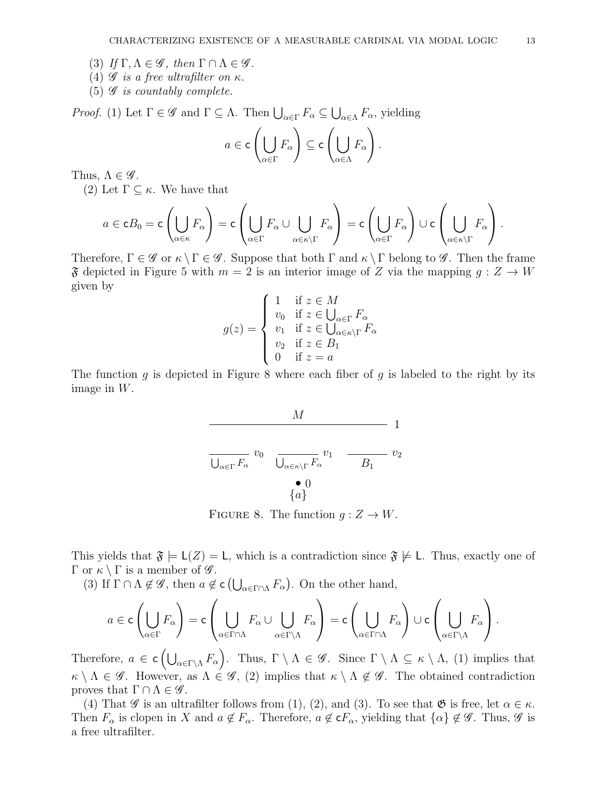- (3) If  $\Gamma, \Lambda \in \mathscr{G}$ , then  $\Gamma \cap \Lambda \in \mathscr{G}$ .
- (4)  $\mathscr G$  is a free ultrafilter on  $\kappa$ .
- (5)  $\mathscr G$  is countably complete.

*Proof.* (1) Let  $\Gamma \in \mathscr{G}$  and  $\Gamma \subseteq \Lambda$ . Then  $\bigcup_{\alpha \in \Gamma} F_{\alpha} \subseteq \bigcup_{\alpha \in \Lambda} F_{\alpha}$ , yielding

$$
a \in \mathsf{c}\left(\bigcup_{\alpha \in \Gamma} F_{\alpha}\right) \subseteq \mathsf{c}\left(\bigcup_{\alpha \in \Lambda} F_{\alpha}\right).
$$

Thus,  $\Lambda \in \mathscr{G}$ .

(2) Let  $\Gamma \subseteq \kappa$ . We have that

$$
a \in \mathbf{c}B_0 = \mathbf{c} \left( \bigcup_{\alpha \in \kappa} F_{\alpha} \right) = \mathbf{c} \left( \bigcup_{\alpha \in \Gamma} F_{\alpha} \cup \bigcup_{\alpha \in \kappa \setminus \Gamma} F_{\alpha} \right) = \mathbf{c} \left( \bigcup_{\alpha \in \Gamma} F_{\alpha} \right) \cup \mathbf{c} \left( \bigcup_{\alpha \in \kappa \setminus \Gamma} F_{\alpha} \right).
$$

Therefore,  $\Gamma \in \mathscr{G}$  or  $\kappa \setminus \Gamma \in \mathscr{G}$ . Suppose that both  $\Gamma$  and  $\kappa \setminus \Gamma$  belong to  $\mathscr{G}$ . Then the frame  $\mathfrak F$  depicted in Figure 5 with  $m = 2$  is an interior image of Z via the mapping  $g: Z \to W$ given by

$$
g(z) = \begin{cases} 1 & \text{if } z \in M \\ v_0 & \text{if } z \in \bigcup_{\alpha \in \Gamma} F_{\alpha} \\ v_1 & \text{if } z \in \bigcup_{\alpha \in \kappa \setminus \Gamma} F_{\alpha} \\ v_2 & \text{if } z \in B_1 \\ 0 & \text{if } z = a \end{cases}
$$

The function g is depicted in Figure 8 where each fiber of g is labeled to the right by its image in W.

$$
\frac{M}{\bigcup_{\alpha \in \Gamma} F_{\alpha}} v_0 \frac{M}{\bigcup_{\alpha \in \kappa \setminus \Gamma} F_{\alpha}} v_1 \frac{M}{B_1} v_2
$$

FIGURE 8. The function  $g: Z \to W$ .

This yields that  $\mathfrak{F} \models L(Z) = L$ , which is a contradiction since  $\mathfrak{F} \not\models L$ . Thus, exactly one of Γ or  $\kappa \setminus \Gamma$  is a member of  $\mathscr{G}$ .

(3) If  $\Gamma \cap \Lambda \notin \mathscr{G}$ , then  $a \notin \mathsf{c}\left(\bigcup_{\alpha \in \Gamma \cap \Lambda} F_{\alpha}\right)$ . On the other hand,

$$
a\in\mathsf{c}\left(\bigcup_{\alpha\in\Gamma}F_\alpha\right)=\mathsf{c}\left(\bigcup_{\alpha\in\Gamma\cap\Lambda}F_\alpha\cup\bigcup_{\alpha\in\Gamma\backslash\Lambda}F_\alpha\right)=\mathsf{c}\left(\bigcup_{\alpha\in\Gamma\cap\Lambda}F_\alpha\right)\cup\mathsf{c}\left(\bigcup_{\alpha\in\Gamma\backslash\Lambda}F_\alpha\right).
$$

Therefore,  $a \in \mathsf{c}\left(\bigcup_{\alpha \in \Gamma \backslash \Lambda} F_{\alpha}\right)$ . Thus,  $\Gamma \setminus \Lambda \in \mathscr{G}$ . Since  $\Gamma \setminus \Lambda \subseteq \kappa \setminus \Lambda$ , (1) implies that  $\kappa \setminus \Lambda \in \mathscr{G}$ . However, as  $\Lambda \in \mathscr{G}$ , (2) implies that  $\kappa \setminus \Lambda \notin \mathscr{G}$ . The obtained contradiction proves that  $\Gamma \cap \Lambda \in \mathscr{G}$ .

(4) That  $\mathscr G$  is an ultrafilter follows from (1), (2), and (3). To see that  $\mathfrak G$  is free, let  $\alpha \in \kappa$ . Then  $F_{\alpha}$  is clopen in X and  $a \notin F_{\alpha}$ . Therefore,  $a \notin \mathsf{c}F_{\alpha}$ , yielding that  $\{\alpha\} \notin \mathscr{G}$ . Thus,  $\mathscr{G}$  is a free ultrafilter.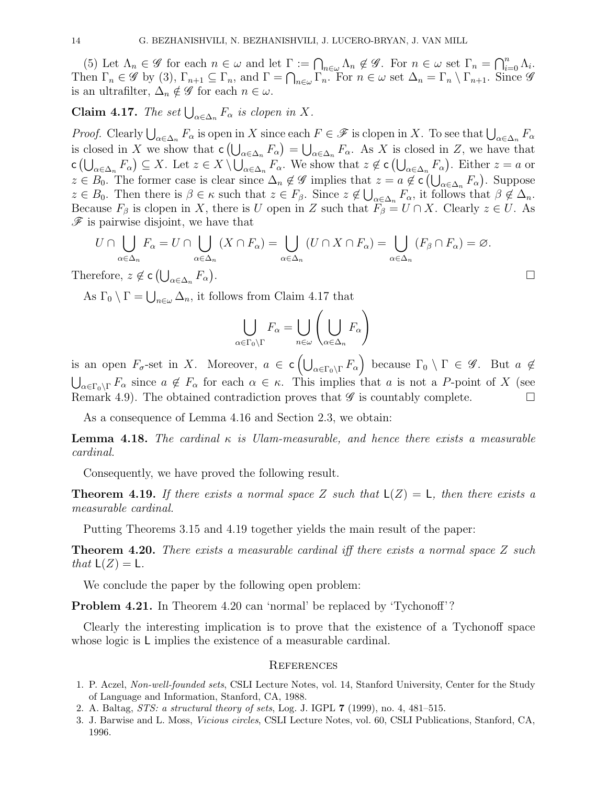(5) Let  $\Lambda_n \in \mathscr{G}$  for each  $n \in \omega$  and let  $\Gamma := \bigcap_{n \in \omega} \Lambda_n \notin \mathscr{G}$ . For  $n \in \omega$  set  $\Gamma_n = \bigcap_{i=0}^n \Lambda_i$ . Then  $\Gamma_n \in \mathscr{G}$  by (3),  $\Gamma_{n+1} \subseteq \Gamma_n$ , and  $\Gamma = \bigcap_{n \in \omega} \Gamma_n$ . For  $n \in \omega$  set  $\Delta_n = \Gamma_n \setminus \Gamma_{n+1}$ . Since  $\mathscr{G}$ is an ultrafilter,  $\Delta_n \notin \mathscr{G}$  for each  $n \in \omega$ .

# **Claim 4.17.** The set  $\bigcup_{\alpha \in \Delta_n} F_{\alpha}$  is clopen in X.

*Proof.* Clearly  $\bigcup_{\alpha \in \Delta_n} F_\alpha$  is open in X since each  $F \in \mathscr{F}$  is clopen in X. To see that  $\bigcup_{\alpha \in \Delta_n} F_\alpha$ is closed in X we show that  $\mathsf{c}\left(\bigcup_{\alpha\in\Delta_n}F_\alpha\right)=\bigcup_{\alpha\in\Delta_n}F_\alpha$ . As X is closed in Z, we have that  $\mathsf{c}\left(\bigcup_{\alpha\in\Delta_n}F_\alpha\right)\subseteq X$ . Let  $z\in X\setminus\bigcup_{\alpha\in\Delta_n}F_\alpha$ . We show that  $z\not\in\mathsf{c}\left(\bigcup_{\alpha\in\Delta_n}F_\alpha\right)$ . Either  $z=a$  or  $z \in B_0$ . The former case is clear since  $\Delta_n \notin \mathscr{G}$  implies that  $z = a \notin \mathsf{c}(\bigcup_{\alpha \in \Delta_n} F_\alpha)$ . Suppose  $z \in B_0$ . Then there is  $\beta \in \kappa$  such that  $z \in F_\beta$ . Since  $z \notin \bigcup_{\alpha \in \Delta_n} F_\alpha$ , it follows that  $\beta \notin \Delta_n$ . Because  $F_\beta$  is clopen in X, there is U open in Z such that  $\widetilde{F}_\beta = U \cap X$ . Clearly  $z \in U$ . As  $\mathscr F$  is pairwise disjoint, we have that

$$
U \cap \bigcup_{\alpha \in \Delta_n} F_{\alpha} = U \cap \bigcup_{\alpha \in \Delta_n} (X \cap F_{\alpha}) = \bigcup_{\alpha \in \Delta_n} (U \cap X \cap F_{\alpha}) = \bigcup_{\alpha \in \Delta_n} (F_{\beta} \cap F_{\alpha}) = \varnothing.
$$
  
refore,  $z \notin \mathbf{C} \left( \bigcup_{\alpha \in \Delta_n} F_{\alpha} \right)$ .

Therefore,  $z \notin \mathsf{c}\left(\bigcup_{\alpha \in \Delta_n} F_\alpha\right)$ 

As  $\Gamma_0 \setminus \Gamma = \bigcup_{n \in \omega} \Delta_n$ , it follows from Claim 4.17 that

$$
\bigcup_{\alpha \in \Gamma_0 \backslash \Gamma} F_{\alpha} = \bigcup_{n \in \omega} \left( \bigcup_{\alpha \in \Delta_n} F_{\alpha} \right)
$$

is an open  $F_{\sigma}$ -set in X. Moreover,  $a \in \mathsf{c}\left(\bigcup_{\alpha \in \Gamma_0 \setminus \Gamma} F_{\alpha}\right)$  because  $\Gamma_0 \setminus \Gamma \in \mathscr{G}$ . But  $a \notin$  $\bigcup_{\alpha\in\Gamma_0\backslash\Gamma}F_\alpha$  since  $a\notin F_\alpha$  for each  $\alpha\in\kappa$ . This implies that a is not a P-point of X (see Remark 4.9). The obtained contradiction proves that  $\mathscr G$  is countably complete.

As a consequence of Lemma 4.16 and Section 2.3, we obtain:

**Lemma 4.18.** The cardinal  $\kappa$  is Ulam-measurable, and hence there exists a measurable cardinal.

Consequently, we have proved the following result.

**Theorem 4.19.** If there exists a normal space Z such that  $L(Z) = L$ , then there exists a measurable cardinal.

Putting Theorems 3.15 and 4.19 together yields the main result of the paper:

**Theorem 4.20.** There exists a measurable cardinal iff there exists a normal space  $Z$  such that  $L(Z) = L$ .

We conclude the paper by the following open problem:

Problem 4.21. In Theorem 4.20 can 'normal' be replaced by 'Tychonoff'?

Clearly the interesting implication is to prove that the existence of a Tychonoff space whose logic is L implies the existence of a measurable cardinal.

#### **REFERENCES**

- 1. P. Aczel, Non-well-founded sets, CSLI Lecture Notes, vol. 14, Stanford University, Center for the Study of Language and Information, Stanford, CA, 1988.
- 2. A. Baltag, STS: a structural theory of sets, Log. J. IGPL 7 (1999), no. 4, 481–515.
- 3. J. Barwise and L. Moss, Vicious circles, CSLI Lecture Notes, vol. 60, CSLI Publications, Stanford, CA, 1996.